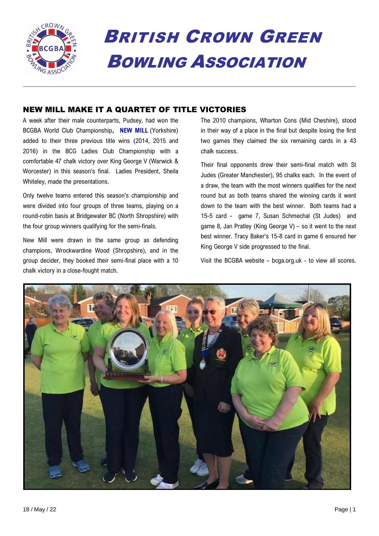

# BRITISH CROWN GREEN BOWLING ASSOCIATION

# NEW MILL MAKE IT A QUARTET OF TITLE VICTORIES

A week after their male counterparts, Pudsey, had won the BCGBA World Club Championship**, NEW MILL** (Yorkshire) added to their three previous title wins (2014, 2015 and 2016) in the BCG Ladies Club Championship with a comfortable 47 chalk victory over King George V (Warwick & Worcester) in this season's final. Ladies President, Sheila Whiteley, made the presentations.

Only twelve teams entered this season's championship and were divided into four groups of three teams, playing on a round-robin basis at Bridgewater BC (North Shropshire) with the four group winners qualifying for the semi-finals.

New Mill were drawn in the same group as defending champions, Wrockwardine Wood (Shropshire), and in the group decider, they booked their semi-final place with a 10 chalk victory in a close-fought match.

The 2010 champions, Wharton Cons (Mid Cheshire), stood in their way of a place in the final but despite losing the first two games they claimed the six remaining cards in a 43 chalk success.

Their final opponents drew their semi-final match with St Judes (Greater Manchester), 95 chalks each. In the event of a draw, the team with the most winners qualifies for the next round but as both teams shared the winning cards it went down to the team with the best winner. Both teams had a 15-5 card - game 7, Susan Schmechal (St Judes) and game 8, Jan Pratley (King George V) – so it went to the next best winner. Tracy Baker's 15-8 card in game 6 ensured her King George V side progressed to the final.

Visit the BCGBA website – bcga.org.uk - to view all scores.

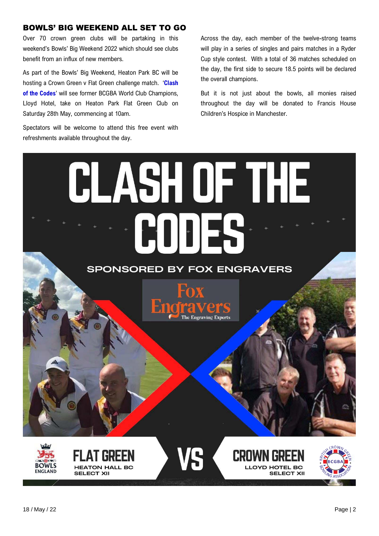# BOWLS' BIG WEEKEND ALL SET TO GO

Over 70 crown green clubs will be partaking in this weekend's Bowls' Big Weekend 2022 which should see clubs benefit from an influx of new members.

As part of the Bowls' Big Weekend, Heaton Park BC will be hosting a Crown Green v Flat Green challenge match. '**Clash of the Codes**' will see former BCGBA World Club Champions, Lloyd Hotel, take on Heaton Park Flat Green Club on Saturday 28th May, commencing at 10am.

Spectators will be welcome to attend this free event with refreshments available throughout the day.

Across the day, each member of the twelve-strong teams will play in a series of singles and pairs matches in a Ryder Cup style contest. With a total of 36 matches scheduled on the day, the first side to secure 18.5 points will be declared the overall champions.

But it is not just about the bowls, all monies raised throughout the day will be donated to Francis House Children's Hospice in Manchester.

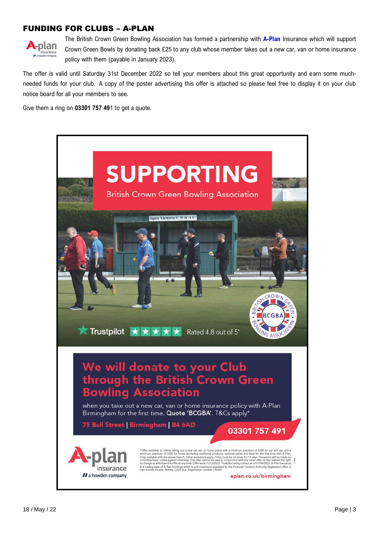# FUNDING FOR CLUBS – A-PLAN



The British Crown Green Bowling Association has formed a partnership with **A-Plan** Insurance which will support Crown Green Bowls by donating back £25 to any club whose member takes out a new car, van or home insurance policy with them (payable in January 2023).

The offer is valid until Saturday 31st December 2022 so tell your members about this great opportunity and earn some muchneeded funds for your club. A copy of the poster advertising this offer is attached so please feel free to display it on your club notice board for all your members to see.

Give them a ring on **03301 757 49**1 to get a quote.

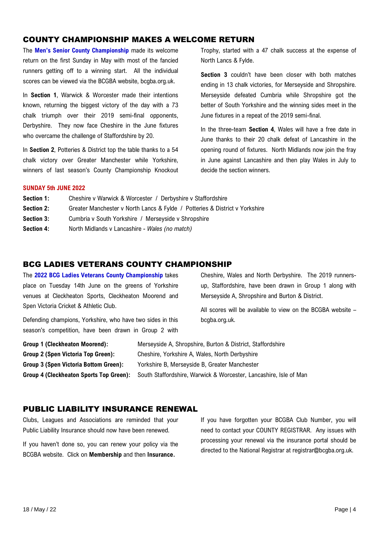# COUNTY CHAMPIONSHIP MAKES A WELCOME RETURN

The **Men's Senior County Championship** made its welcome return on the first Sunday in May with most of the fancied runners getting off to a winning start. All the individual scores can be viewed via the BCGBA website, bcgba.org.uk.

In **Section 1**, Warwick & Worcester made their intentions known, returning the biggest victory of the day with a 73 chalk triumph over their 2019 semi-final opponents, Derbyshire. They now face Cheshire in the June fixtures who overcame the challenge of Staffordshire by 20.

In **Section 2**, Potteries & District top the table thanks to a 54 chalk victory over Greater Manchester while Yorkshire, winners of last season's County Championship Knockout Trophy, started with a 47 chalk success at the expense of North Lancs & Fylde.

**Section 3** couldn't have been closer with both matches ending in 13 chalk victories, for Merseyside and Shropshire. Merseyside defeated Cumbria while Shropshire got the better of South Yorkshire and the winning sides meet in the June fixtures in a repeat of the 2019 semi-final.

In the three-team **Section 4**, Wales will have a free date in June thanks to their 20 chalk defeat of Lancashire in the opening round of fixtures. North Midlands now join the fray in June against Lancashire and then play Wales in July to decide the section winners.

#### **SUNDAY 5th JUNE 2022**

| Section 1:        | Cheshire v Warwick & Worcester / Derbyshire v Staffordshire                 |
|-------------------|-----------------------------------------------------------------------------|
| <b>Section 2:</b> | Greater Manchester v North Lancs & Fylde / Potteries & District v Yorkshire |
| <b>Section 3:</b> | Cumbria v South Yorkshire / Merseyside v Shropshire                         |

**Section 4:** North Midlands v Lancashire - *Wales (no match)*

# BCG LADIES VETERANS COUNTY CHAMPIONSHIP

The **2022 BCG Ladies Veterans County Championship** takes place on Tuesday 14th June on the greens of Yorkshire venues at Cleckheaton Sports, Cleckheaton Moorend and Spen Victoria Cricket & Athletic Club.

Defending champions, Yorkshire, who have two sides in this season's competition, have been drawn in Group 2 with Cheshire, Wales and North Derbyshire. The 2019 runnersup, Staffordshire, have been drawn in Group 1 along with Merseyside A, Shropshire and Burton & District.

All scores will be available to view on the BCGBA website – bcgba.org.uk.

| Group 1 (Cleckheaton Moorend):        | Merseyside A, Shropshire, Burton & District, Staffordshire                                                |
|---------------------------------------|-----------------------------------------------------------------------------------------------------------|
| Group 2 (Spen Victoria Top Green):    | Cheshire, Yorkshire A, Wales, North Derbyshire                                                            |
| Group 3 (Spen Victoria Bottom Green): | Yorkshire B, Merseyside B, Greater Manchester                                                             |
|                                       | Group 4 (Cleckheaton Sports Top Green): South Staffordshire, Warwick & Worcester, Lancashire, Isle of Man |

# PUBLIC LIABILITY INSURANCE RENEWAL

Clubs, Leagues and Associations are reminded that your Public Liability Insurance should now have been renewed.

If you haven't done so, you can renew your policy via the BCGBA website. Click on **Membership** and then **Insurance.** 

If you have forgotten your BCGBA Club Number, you will need to contact your COUNTY REGISTRAR. Any issues with processing your renewal via the insurance portal should be directed to the National Registrar at registrar@bcgba.org.uk.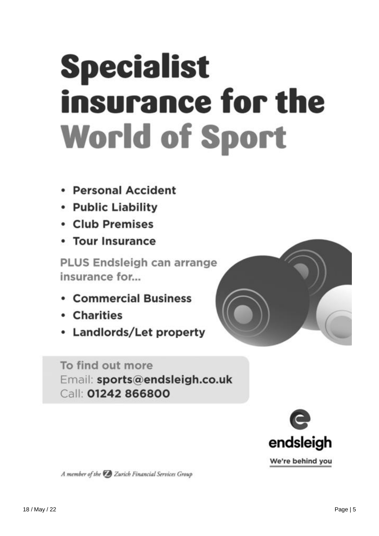# **Specialist** insurance for the **World of Sport**

- Personal Accident
- Public Liability
- Club Premises
- Tour Insurance

PLUS Endsleigh can arrange insurance for...

- **Commercial Business**
- Charities
- Landlords/Let property

To find out more Email: sports@endsleigh.co.uk Call: 01242 866800



A member of the Zurich Financial Services Group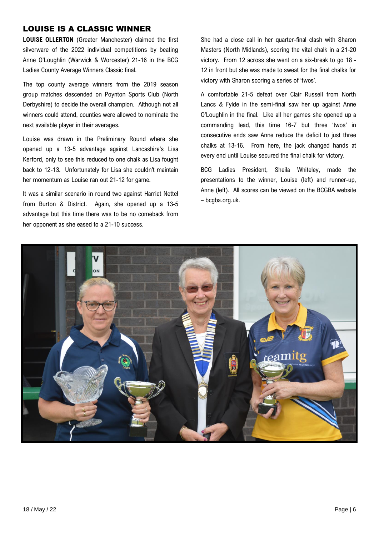# LOUISE IS A CLASSIC WINNER

**LOUISE OLLERTON** (Greater Manchester) claimed the first silverware of the 2022 individual competitions by beating Anne O'Loughlin (Warwick & Worcester) 21-16 in the BCG Ladies County Average Winners Classic final.

The top county average winners from the 2019 season group matches descended on Poynton Sports Club (North Derbyshire) to decide the overall champion. Although not all winners could attend, counties were allowed to nominate the next available player in their averages.

Louise was drawn in the Preliminary Round where she opened up a 13-5 advantage against Lancashire's Lisa Kerford, only to see this reduced to one chalk as Lisa fought back to 12-13. Unfortunately for Lisa she couldn't maintain her momentum as Louise ran out 21-12 for game.

It was a similar scenario in round two against Harriet Nettel from Burton & District. Again, she opened up a 13-5 advantage but this time there was to be no comeback from her opponent as she eased to a 21-10 success.

She had a close call in her quarter-final clash with Sharon Masters (North Midlands), scoring the vital chalk in a 21-20 victory. From 12 across she went on a six-break to go 18 - 12 in front but she was made to sweat for the final chalks for victory with Sharon scoring a series of 'twos'.

A comfortable 21-5 defeat over Clair Russell from North Lancs & Fylde in the semi-final saw her up against Anne O'Loughlin in the final. Like all her games she opened up a commanding lead, this time 16-7 but three 'twos' in consecutive ends saw Anne reduce the deficit to just three chalks at 13-16. From here, the jack changed hands at every end until Louise secured the final chalk for victory.

BCG Ladies President, Sheila Whiteley, made the presentations to the winner, Louise (left) and runner-up, Anne (left). All scores can be viewed on the BCGBA website – bcgba.org.uk.

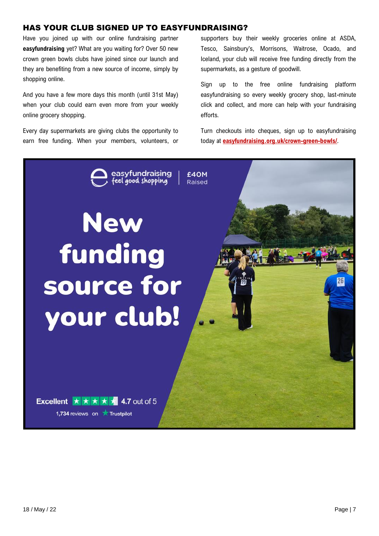# HAS YOUR CLUB SIGNED UP TO EASYFUNDRAISING?

Have you joined up with our online fundraising partner **easyfundraising** yet? What are you waiting for? Over 50 new crown green bowls clubs have joined since our launch and they are benefiting from a new source of income, simply by shopping online.

And you have a few more days this month (until 31st May) when your club could earn even more from your weekly online grocery shopping.

Every day supermarkets are giving clubs the opportunity to earn free funding. When your members, volunteers, or

supporters buy their weekly groceries online at ASDA, Tesco, Sainsbury's, Morrisons, Waitrose, Ocado, and Iceland, your club will receive free funding directly from the supermarkets, as a gesture of goodwill.

Sign up to the free online fundraising platform easyfundraising so every weekly grocery shop, last-minute click and collect, and more can help with your fundraising efforts.

Turn checkouts into cheques, sign up to easyfundraising today at **<easyfundraising.org.uk/crown-green-bowls/>**.

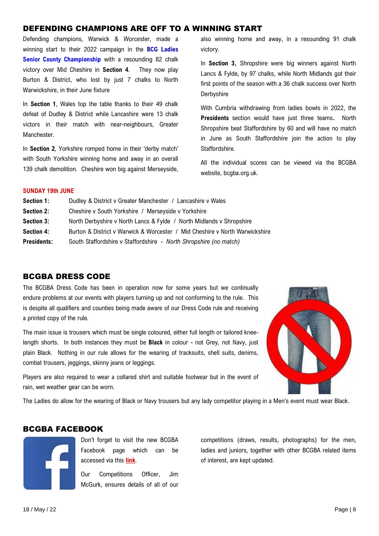# DEFENDING CHAMPIONS ARE OFF TO A WINNING START

Defending champions, Warwick & Worcester, made a winning start to their 2022 campaign in the **BCG Ladies** Senior County Championship with a resounding 82 chalk victory over Mid Cheshire in **Section 4**. They now play Burton & District, who lost by just 7 chalks to North Warwickshire, in their June fixture

In **Section 1**, Wales top the table thanks to their 49 chalk defeat of Dudley & District while Lancashire were 13 chalk victors in their match with near-neighbours, Greater Manchester.

In **Section 2**, Yorkshire romped home in their 'derby match' with South Yorkshire winning home and away in an overall 139 chalk demolition. Cheshire won big against Merseyside,

also winning home and away, in a resounding 91 chalk victory.

In **Section 3,** Shropshire were big winners against North Lancs & Fylde, by 97 chalks, while North Midlands got their first points of the season with a 36 chalk success over North Derbyshire

With Cumbria withdrawing from ladies bowls in 2022, the **Presidents** section would have just three teams**.** North Shropshire beat Staffordshire by 60 and will have no match in June as South Staffordshire join the action to play Staffordshire.

All the individual scores can be viewed via the BCGBA website, bcgba.org.uk.

#### **SUNDAY 19th JUNE**

| Section 1:         | Dudley & District v Greater Manchester / Lancashire v Wales                 |  |
|--------------------|-----------------------------------------------------------------------------|--|
| <b>Section 2:</b>  | Cheshire v South Yorkshire / Merseyside v Yorkshire                         |  |
| <b>Section 3:</b>  | North Derbyshire v North Lancs & Fylde / North Midlands v Shropshire        |  |
| <b>Section 4:</b>  | Burton & District v Warwick & Worcester / Mid Cheshire v North Warwickshire |  |
| <b>Presidents:</b> | South Staffordshire v Staffordshire - North Shropshire (no match)           |  |
|                    |                                                                             |  |

# BCGBA DRESS CODE

The BCGBA Dress Code has been in operation now for some years but we continually endure problems at our events with players turning up and not conforming to the rule. This is despite all qualifiers and counties being made aware of our Dress Code rule and receiving a printed copy of the rule.

The main issue is trousers which must be single coloured, either full length or tailored kneelength shorts. In both instances they must be **Black** in colour - not Grey, not Navy, just plain Black. Nothing in our rule allows for the wearing of tracksuits, shell suits, denims, combat trousers, jeggings, skinny jeans or leggings.

Players are also required to wear a collared shirt and suitable footwear but in the event of rain, wet weather gear can be worn.



The Ladies do allow for the wearing of Black or Navy trousers but any lady competitor playing in a Men's event must wear Black.

# BCGBA FACEBOOK



Don't forget to visit the new BCGBA Facebook page which can be accessed via this **[link](https://www.facebook.com/groups/1506108956402705/)**.

Our Competitions Officer, Jim McGurk, ensures details of all of our competitions (draws, results, photographs) for the men, ladies and juniors, together with other BCGBA related items of interest, are kept updated.